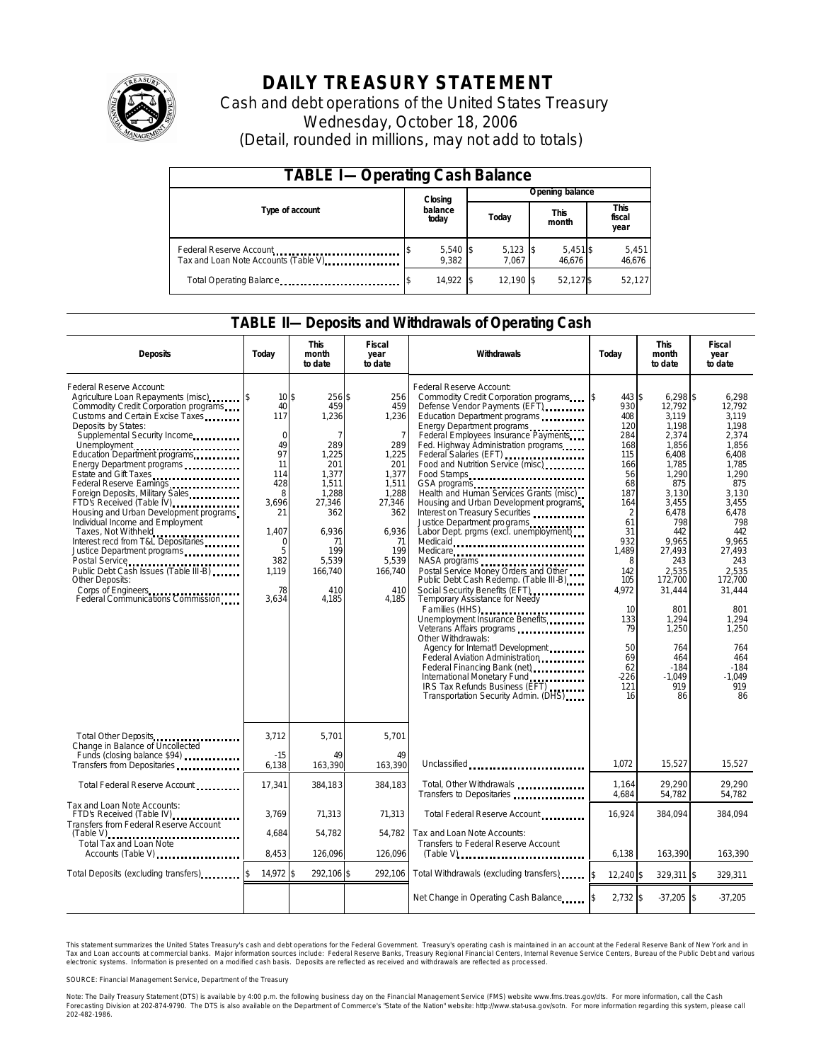

# **DAILY TREASURY STATEMENT**

Cash and debt operations of the United States Treasury Wednesday, October 18, 2006 (Detail, rounded in millions, may not add to totals)

| <b>TABLE I-Operating Cash Balance</b>                            |  |                     |  |                     |  |                      |  |                        |  |
|------------------------------------------------------------------|--|---------------------|--|---------------------|--|----------------------|--|------------------------|--|
|                                                                  |  | Closing             |  | Opening balance     |  |                      |  |                        |  |
| Type of account                                                  |  | balance<br>today    |  | Today               |  | <b>This</b><br>month |  | This<br>fiscal<br>year |  |
| Federal Reserve Account<br>Tax and Loan Note Accounts (Table V). |  | $5,540$ \$<br>9,382 |  | $5,123$ \$<br>7.067 |  | $5,451$ \$<br>46.676 |  | 5,451<br>46,676        |  |
| Total Operating Balance                                          |  | 14,922 \$           |  | 12.190 \$           |  | 52.127\$             |  | 52,127                 |  |

### **TABLE II—Deposits and Withdrawals of Operating Cash**

| <b>Deposits</b>                                                                                                                                                                                                                                                                                                                                                                                                                                                                                                                                                                                                                                                                           | Today                                                                                                                                             | <b>This</b><br>month<br>to date                                                                                                                                        | <b>Fiscal</b><br>year<br>to date                                                                                                                                   | Withdrawals                                                                                                                                                                                                                                                                                                                                                                                                                                                                                                                                                                                                                                                                                                                                                                                                                                                                                                                                                                                                             | <b>This</b><br>Today<br>month<br>to date                                                                                                                                                                                      |                                                                                                                                                                                                                                                                       | Fiscal<br>year<br>to date                                                                                                                                                                                                                                        |
|-------------------------------------------------------------------------------------------------------------------------------------------------------------------------------------------------------------------------------------------------------------------------------------------------------------------------------------------------------------------------------------------------------------------------------------------------------------------------------------------------------------------------------------------------------------------------------------------------------------------------------------------------------------------------------------------|---------------------------------------------------------------------------------------------------------------------------------------------------|------------------------------------------------------------------------------------------------------------------------------------------------------------------------|--------------------------------------------------------------------------------------------------------------------------------------------------------------------|-------------------------------------------------------------------------------------------------------------------------------------------------------------------------------------------------------------------------------------------------------------------------------------------------------------------------------------------------------------------------------------------------------------------------------------------------------------------------------------------------------------------------------------------------------------------------------------------------------------------------------------------------------------------------------------------------------------------------------------------------------------------------------------------------------------------------------------------------------------------------------------------------------------------------------------------------------------------------------------------------------------------------|-------------------------------------------------------------------------------------------------------------------------------------------------------------------------------------------------------------------------------|-----------------------------------------------------------------------------------------------------------------------------------------------------------------------------------------------------------------------------------------------------------------------|------------------------------------------------------------------------------------------------------------------------------------------------------------------------------------------------------------------------------------------------------------------|
| Federal Reserve Account:<br>Agriculture Loan Repayments (misc)<br>Commodity Credit Corporation programs<br>Customs and Certain Excise Taxes<br>Deposits by States:<br>Supplemental Security Income<br>Education Department programs<br>Energy Department programs<br>Estate and Gift Taxes<br>Federal Reserve Earnings<br>Foreign Deposits, Military Sales<br>FTD's Received (Table IV)<br>Housing and Urban Development programs<br>Individual Income and Employment<br>Taxes, Not Withheld<br>Interest recd from T&L Depositaries<br>Justice Department programs<br>Public Debt Cash Issues (Table III-B)<br>Other Deposits:<br>Corps of Engineers<br>Federal Communications Commission | 10 <sub>5</sub><br>40<br>117<br>$\mathbf 0$<br>49<br>97<br>11<br>114<br>428<br>8<br>3,696<br>21<br>1.407<br>0<br>5<br>382<br>1.119<br>78<br>3,634 | 256 \$<br>459<br>1,236<br>$\overline{7}$<br>289<br>1,225<br>201<br>1,377<br>1,511<br>1,288<br>27,346<br>362<br>6,936<br>-71<br>199<br>5.539<br>166,740<br>410<br>4,185 | 256<br>459<br>1,236<br>$\overline{7}$<br>289<br>1,225<br>201<br>1,377<br>1,511<br>1,288<br>27,346<br>362<br>6,936<br>71<br>199<br>5,539<br>166,740<br>410<br>4,185 | Federal Reserve Account:<br>Commodity Credit Corporation programs<br>Defense Vendor Payments (EFT)<br>Education Department programs<br>Energy Department programs<br>Federal Employees Insurance Payments<br>Fed. Highway Administration programs<br>Federal Salaries (EFT)<br>Food and Nutrition Service (misc)<br>Food Stamps<br>GSA programs<br>Health and Human Services Grants (misc)<br>Housing and Urban Development programs<br>Interest on Treasury Securities<br>Justice Department programs<br>Labor Dept. prgms (excl. unemployment)<br>Medicare<br>Postal Service Money Orders and Other<br>Public Debt Cash Redemp. (Table III-B)<br>Social Security Benefits (EFT)<br><br>Temporary Assistance for Needy<br>Families (HHS)<br>Unemployment Insurance Benefits<br>Other Withdrawals:<br>Agency for Internat'l Development<br>Federal Aviation Administration<br>Federal Financing Bank (net)<br><br>International Monetary Fund<br>IRS Tax Refunds Business (EFT)<br>Transportation Security Admin. (DHS) | 443 \$<br>ß.<br>930<br>408<br>120<br>284<br>168<br>115<br>166<br>56<br>68<br>187<br>164<br>$\overline{2}$<br>61<br>31<br>932<br>1.489<br>8<br>142<br>105<br>4,972<br>10<br>133<br>79<br>50<br>69<br>62<br>$-226$<br>121<br>16 | $6.298$ \$<br>12,792<br>3,119<br>1,198<br>2,374<br>1,856<br>6,408<br>1,785<br>1.290<br>875<br>3,130<br>3,455<br>6,478<br>798<br>442<br>9.965<br>27,493<br>243<br>2.535<br>172,700<br>31,444<br>801<br>1,294<br>1,250<br>764<br>464<br>$-184$<br>$-1,049$<br>919<br>86 | 6.298<br>12,792<br>3.119<br>1,198<br>2.374<br>1.856<br>6.408<br>1,785<br>1.290<br>875<br>3.130<br>3,455<br>6,478<br>798<br>442<br>9.965<br>27.493<br>243<br>2.535<br>172,700<br>31,444<br>801<br>1.294<br>1.250<br>764<br>464<br>$-184$<br>$-1.049$<br>919<br>86 |
| Total Other Deposits<br>Change in Balance of Uncollected                                                                                                                                                                                                                                                                                                                                                                                                                                                                                                                                                                                                                                  | 3,712                                                                                                                                             | 5,701                                                                                                                                                                  | 5,701                                                                                                                                                              |                                                                                                                                                                                                                                                                                                                                                                                                                                                                                                                                                                                                                                                                                                                                                                                                                                                                                                                                                                                                                         |                                                                                                                                                                                                                               |                                                                                                                                                                                                                                                                       |                                                                                                                                                                                                                                                                  |
| Funds (closing balance \$94)<br>Transfers from Depositaries                                                                                                                                                                                                                                                                                                                                                                                                                                                                                                                                                                                                                               | $-15$<br>6,138                                                                                                                                    | 49<br>163,390                                                                                                                                                          | 49<br>163,390                                                                                                                                                      | Unclassified                                                                                                                                                                                                                                                                                                                                                                                                                                                                                                                                                                                                                                                                                                                                                                                                                                                                                                                                                                                                            | 1.072                                                                                                                                                                                                                         | 15,527                                                                                                                                                                                                                                                                | 15,527                                                                                                                                                                                                                                                           |
| Total Federal Reserve Account                                                                                                                                                                                                                                                                                                                                                                                                                                                                                                                                                                                                                                                             | 17,341                                                                                                                                            | 384,183                                                                                                                                                                | 384,183                                                                                                                                                            | Total, Other Withdrawals<br>Transfers to Depositaries                                                                                                                                                                                                                                                                                                                                                                                                                                                                                                                                                                                                                                                                                                                                                                                                                                                                                                                                                                   | 1,164<br>4,684                                                                                                                                                                                                                | 29,290<br>54,782                                                                                                                                                                                                                                                      | 29.290<br>54,782                                                                                                                                                                                                                                                 |
| Tax and Loan Note Accounts:<br>FTD's Received (Table IV)<br>Transfers from Federal Reserve Account                                                                                                                                                                                                                                                                                                                                                                                                                                                                                                                                                                                        | 3.769                                                                                                                                             | 71,313                                                                                                                                                                 | 71,313                                                                                                                                                             | Total Federal Reserve Account                                                                                                                                                                                                                                                                                                                                                                                                                                                                                                                                                                                                                                                                                                                                                                                                                                                                                                                                                                                           | 16,924                                                                                                                                                                                                                        | 384,094                                                                                                                                                                                                                                                               | 384,094                                                                                                                                                                                                                                                          |
| $(Table V)$<br>Total Tax and Loan Note<br>Accounts (Table V)                                                                                                                                                                                                                                                                                                                                                                                                                                                                                                                                                                                                                              | 4,684<br>8,453                                                                                                                                    | 54.782<br>126,096                                                                                                                                                      | 54.782<br>126,096                                                                                                                                                  | Tax and Loan Note Accounts:<br>Transfers to Federal Reserve Account<br>$(Table V)$                                                                                                                                                                                                                                                                                                                                                                                                                                                                                                                                                                                                                                                                                                                                                                                                                                                                                                                                      | 6,138                                                                                                                                                                                                                         | 163,390                                                                                                                                                                                                                                                               | 163,390                                                                                                                                                                                                                                                          |
| Total Deposits (excluding transfers)                                                                                                                                                                                                                                                                                                                                                                                                                                                                                                                                                                                                                                                      | 14,972 \$                                                                                                                                         | 292,106 \$                                                                                                                                                             | 292,106                                                                                                                                                            | Total Withdrawals (excluding transfers)                                                                                                                                                                                                                                                                                                                                                                                                                                                                                                                                                                                                                                                                                                                                                                                                                                                                                                                                                                                 | 12.240 \$<br><sup>\$</sup>                                                                                                                                                                                                    | 329,311 \$                                                                                                                                                                                                                                                            | 329.311                                                                                                                                                                                                                                                          |
|                                                                                                                                                                                                                                                                                                                                                                                                                                                                                                                                                                                                                                                                                           |                                                                                                                                                   |                                                                                                                                                                        |                                                                                                                                                                    | Net Change in Operating Cash Balance                                                                                                                                                                                                                                                                                                                                                                                                                                                                                                                                                                                                                                                                                                                                                                                                                                                                                                                                                                                    | $2,732$ \$                                                                                                                                                                                                                    | $-37,205$ \$                                                                                                                                                                                                                                                          | $-37,205$                                                                                                                                                                                                                                                        |

This statement summarizes the United States Treasury's cash and debt operations for the Federal Government. Treasury's operating cash is maintained in an account at the Federal Reserve Bank of New York and in Tax and Loan accounts at commercial banks. Major information sources include: Federal Reserve Banks, Treasury Regional Financial Centers, Internal Revenue Service Centers, Bureau of the Public Debt and various<br>electronic s

SOURCE: Financial Management Service, Department of the Treasury

Note: The Daily Treasury Statement (DTS) is available by 4:00 p.m. the following business day on the Financial Management Service (FMS) website www.fms.treas.gov/dts.<br>Forecasting Division at 202-874-9790. The DTS is also a 'S) is available by 4:00 p.m. the following business day on the Financial Management Service (FMS) website www.fms.treas.gov/dts. For more information, call the Cash<br>The DTS is also available on the Department of Commerce'